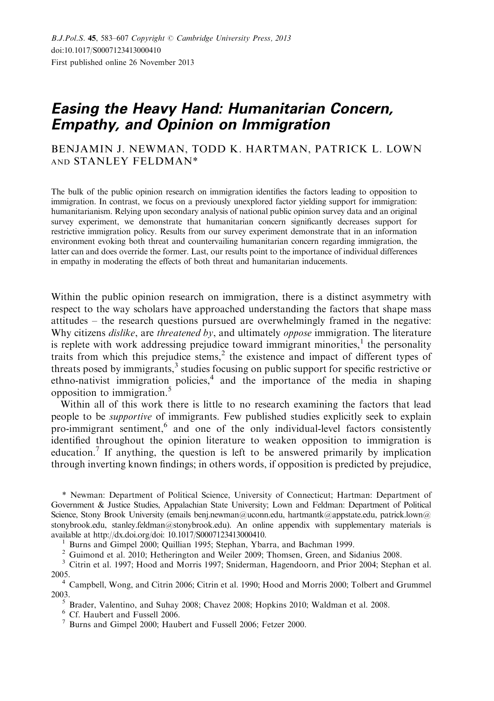# **Easing the Heavy Hand: Humanitarian Concern, Empathy, and Opinion on Immigration**

# BENJAMIN J. NEWMAN, TODD K. HARTMAN, PATRICK L. LOWN AND STANLEY FELDMAN\*

The bulk of the public opinion research on immigration identifies the factors leading to opposition to immigration. In contrast, we focus on a previously unexplored factor yielding support for immigration: humanitarianism. Relying upon secondary analysis of national public opinion survey data and an original survey experiment, we demonstrate that humanitarian concern significantly decreases support for restrictive immigration policy. Results from our survey experiment demonstrate that in an information environment evoking both threat and countervailing humanitarian concern regarding immigration, the latter can and does override the former. Last, our results point to the importance of individual differences in empathy in moderating the effects of both threat and humanitarian inducements.

Within the public opinion research on immigration, there is a distinct asymmetry with respect to the way scholars have approached understanding the factors that shape mass attitudes – the research questions pursued are overwhelmingly framed in the negative: Why citizens *dislike*, are *threatened by*, and ultimately *oppose* immigration. The literature is replete with work addressing prejudice toward immigrant minorities, $\frac{1}{1}$  the personality traits from which this prejudice stems,<sup>2</sup> the existence and impact of different types of threats posed by immigrants, $3$  studies focusing on public support for specific restrictive or ethno-nativist immigration policies,<sup>4</sup> and the importance of the media in shaping opposition to immigration.5

Within all of this work there is little to no research examining the factors that lead people to be *supportive* of immigrants. Few published studies explicitly seek to explain pro-immigrant sentiment,  $6$  and one of the only individual-level factors consistently identified throughout the opinion literature to weaken opposition to immigration is education.<sup>7</sup> If anything, the question is left to be answered primarily by implication through inverting known findings; in others words, if opposition is predicted by prejudice,

\* Newman: Department of Political Science, University of Connecticut; Hartman: Department of Government & Justice Studies, Appalachian State University; Lown and Feldman: Department of Political Science, Stony Brook University (emails benj.newman@uconn.edu, hartmantk@appstate.edu, patrick.lown@ stonybrook.edu, stanley.feldman@stonybrook.edu). An online appendix with supplementary materials is available at http://dx.doi.org/doi: 10.1017/S0007123413000410.<br>
<sup>1</sup> Burns and Gimpel 2000; Quillian 1995; Stephan, Ybarra, and Bachman 1999.<br>
<sup>2</sup> Guimond et al. 2010; Hetherington and Weiler 2009; Thomsen, Green, and Sida

2005.<br><sup>4</sup> Campbell, Wong, and Citrin 2006; Citrin et al. 1990; Hood and Morris 2000; Tolbert and Grummel<br>2003.

<sup>5</sup> Brader, Valentino, and Suhay 2008; Chavez 2008; Hopkins 2010; Waldman et al. 2008.<br>
<sup>6</sup> Cf. Haubert and Fussell 2006.<br>
<sup>7</sup> Burns and Gimpel 2000; Haubert and Fussell 2006; Fetzer 2000.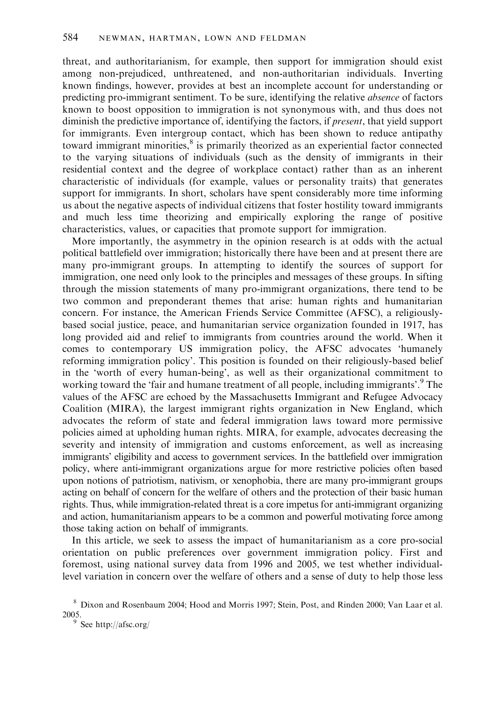threat, and authoritarianism, for example, then support for immigration should exist among non-prejudiced, unthreatened, and non-authoritarian individuals. Inverting known findings, however, provides at best an incomplete account for understanding or predicting pro-immigrant sentiment. To be sure, identifying the relative absence of factors known to boost opposition to immigration is not synonymous with, and thus does not diminish the predictive importance of, identifying the factors, if *present*, that yield support for immigrants. Even intergroup contact, which has been shown to reduce antipathy toward immigrant minorities, $<sup>8</sup>$  is primarily theorized as an experiential factor connected</sup> to the varying situations of individuals (such as the density of immigrants in their residential context and the degree of workplace contact) rather than as an inherent characteristic of individuals (for example, values or personality traits) that generates support for immigrants. In short, scholars have spent considerably more time informing us about the negative aspects of individual citizens that foster hostility toward immigrants and much less time theorizing and empirically exploring the range of positive characteristics, values, or capacities that promote support for immigration.

More importantly, the asymmetry in the opinion research is at odds with the actual political battlefield over immigration; historically there have been and at present there are many pro-immigrant groups. In attempting to identify the sources of support for immigration, one need only look to the principles and messages of these groups. In sifting through the mission statements of many pro-immigrant organizations, there tend to be two common and preponderant themes that arise: human rights and humanitarian concern. For instance, the American Friends Service Committee (AFSC), a religiouslybased social justice, peace, and humanitarian service organization founded in 1917, has long provided aid and relief to immigrants from countries around the world. When it comes to contemporary US immigration policy, the AFSC advocates 'humanely reforming immigration policy'. This position is founded on their religiously-based belief in the 'worth of every human-being', as well as their organizational commitment to working toward the 'fair and humane treatment of all people, including immigrants'.<sup>9</sup> The values of the AFSC are echoed by the Massachusetts Immigrant and Refugee Advocacy Coalition (MIRA), the largest immigrant rights organization in New England, which advocates the reform of state and federal immigration laws toward more permissive policies aimed at upholding human rights. MIRA, for example, advocates decreasing the severity and intensity of immigration and customs enforcement, as well as increasing immigrants' eligibility and access to government services. In the battlefield over immigration policy, where anti-immigrant organizations argue for more restrictive policies often based upon notions of patriotism, nativism, or xenophobia, there are many pro-immigrant groups acting on behalf of concern for the welfare of others and the protection of their basic human rights. Thus, while immigration-related threat is a core impetus for anti-immigrant organizing and action, humanitarianism appears to be a common and powerful motivating force among those taking action on behalf of immigrants.

In this article, we seek to assess the impact of humanitarianism as a core pro-social orientation on public preferences over government immigration policy. First and foremost, using national survey data from 1996 and 2005, we test whether individuallevel variation in concern over the welfare of others and a sense of duty to help those less

<sup>8</sup> Dixon and Rosenbaum 2004; Hood and Morris 1997; Stein, Post, and Rinden 2000; Van Laar et al.

 $9^9$  See http://afsc.org/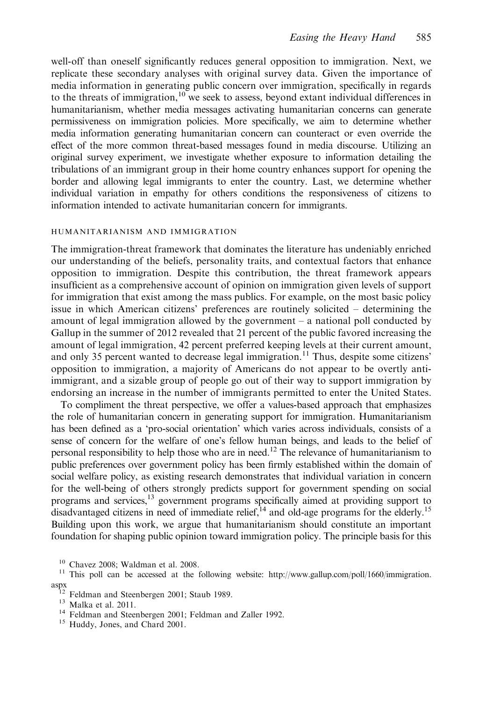well-off than oneself significantly reduces general opposition to immigration. Next, we replicate these secondary analyses with original survey data. Given the importance of media information in generating public concern over immigration, specifically in regards to the threats of immigration, $10$  we seek to assess, beyond extant individual differences in humanitarianism, whether media messages activating humanitarian concerns can generate permissiveness on immigration policies. More specifically, we aim to determine whether media information generating humanitarian concern can counteract or even override the effect of the more common threat-based messages found in media discourse. Utilizing an original survey experiment, we investigate whether exposure to information detailing the tribulations of an immigrant group in their home country enhances support for opening the border and allowing legal immigrants to enter the country. Last, we determine whether individual variation in empathy for others conditions the responsiveness of citizens to information intended to activate humanitarian concern for immigrants.

#### HUMANITARIANISM AND IMMIGRATION

The immigration-threat framework that dominates the literature has undeniably enriched our understanding of the beliefs, personality traits, and contextual factors that enhance opposition to immigration. Despite this contribution, the threat framework appears insufficient as a comprehensive account of opinion on immigration given levels of support for immigration that exist among the mass publics. For example, on the most basic policy issue in which American citizens' preferences are routinely solicited – determining the amount of legal immigration allowed by the government – a national poll conducted by Gallup in the summer of 2012 revealed that 21 percent of the public favored increasing the amount of legal immigration, 42 percent preferred keeping levels at their current amount, and only 35 percent wanted to decrease legal immigration.<sup>11</sup> Thus, despite some citizens' opposition to immigration, a majority of Americans do not appear to be overtly antiimmigrant, and a sizable group of people go out of their way to support immigration by endorsing an increase in the number of immigrants permitted to enter the United States.

To compliment the threat perspective, we offer a values-based approach that emphasizes the role of humanitarian concern in generating support for immigration. Humanitarianism has been defined as a 'pro-social orientation' which varies across individuals, consists of a sense of concern for the welfare of one's fellow human beings, and leads to the belief of personal responsibility to help those who are in need.<sup>12</sup> The relevance of humanitarianism to public preferences over government policy has been firmly established within the domain of social welfare policy, as existing research demonstrates that individual variation in concern for the well-being of others strongly predicts support for government spending on social programs and services,13 government programs specifically aimed at providing support to  $\frac{1}{2}$  disadvantaged citizens in need of immediate relief,<sup>14</sup> and old-age programs for the elderly.<sup>15</sup> Building upon this work, we argue that humanitarianism should constitute an important foundation for shaping public opinion toward immigration policy. The principle basis for this

<sup>10</sup> Chavez 2008; Waldman et al. 2008.<br><sup>11</sup> This poll can be accessed at the following website: http://www.gallup.com/poll/1660/immigration. aspx<br><sup>12</sup> Feldman and Steenbergen 2001; Staub 1989.<br><sup>13</sup> Malka et al. 2011.<br><sup>14</sup> Feldman and Steenbergen 2001; Feldman and Zaller 1992.<br><sup>15</sup> Huddy, Jones, and Chard 2001.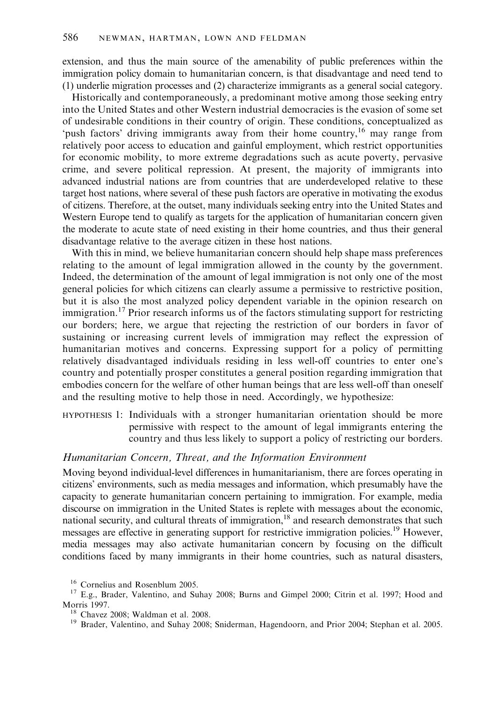extension, and thus the main source of the amenability of public preferences within the immigration policy domain to humanitarian concern, is that disadvantage and need tend to (1) underlie migration processes and (2) characterize immigrants as a general social category.

Historically and contemporaneously, a predominant motive among those seeking entry into the United States and other Western industrial democracies is the evasion of some set of undesirable conditions in their country of origin. These conditions, conceptualized as 'push factors' driving immigrants away from their home country,<sup>16</sup> may range from relatively poor access to education and gainful employment, which restrict opportunities for economic mobility, to more extreme degradations such as acute poverty, pervasive crime, and severe political repression. At present, the majority of immigrants into advanced industrial nations are from countries that are underdeveloped relative to these target host nations, where several of these push factors are operative in motivating the exodus of citizens. Therefore, at the outset, many individuals seeking entry into the United States and Western Europe tend to qualify as targets for the application of humanitarian concern given the moderate to acute state of need existing in their home countries, and thus their general disadvantage relative to the average citizen in these host nations.

With this in mind, we believe humanitarian concern should help shape mass preferences relating to the amount of legal immigration allowed in the county by the government. Indeed, the determination of the amount of legal immigration is not only one of the most general policies for which citizens can clearly assume a permissive to restrictive position, but it is also the most analyzed policy dependent variable in the opinion research on immigration.<sup>17</sup> Prior research informs us of the factors stimulating support for restricting our borders; here, we argue that rejecting the restriction of our borders in favor of sustaining or increasing current levels of immigration may reflect the expression of humanitarian motives and concerns. Expressing support for a policy of permitting relatively disadvantaged individuals residing in less well-off countries to enter one's country and potentially prosper constitutes a general position regarding immigration that embodies concern for the welfare of other human beings that are less well-off than oneself and the resulting motive to help those in need. Accordingly, we hypothesize:

HYPOTHESIS 1: Individuals with a stronger humanitarian orientation should be more permissive with respect to the amount of legal immigrants entering the country and thus less likely to support a policy of restricting our borders.

# Humanitarian Concern, Threat, and the Information Environment

Moving beyond individual-level differences in humanitarianism, there are forces operating in citizens' environments, such as media messages and information, which presumably have the capacity to generate humanitarian concern pertaining to immigration. For example, media discourse on immigration in the United States is replete with messages about the economic, national security, and cultural threats of immigration,<sup>18</sup> and research demonstrates that such messages are effective in generating support for restrictive immigration policies.<sup>19</sup> However, media messages may also activate humanitarian concern by focusing on the difficult conditions faced by many immigrants in their home countries, such as natural disasters,

<sup>&</sup>lt;sup>16</sup> Cornelius and Rosenblum 2005.<br><sup>17</sup> E.g., Brader, Valentino, and Suhay 2008; Burns and Gimpel 2000; Citrin et al. 1997; Hood and Morris 1997.<br><sup>18</sup> Chavez 2008; Waldman et al. 2008.<br><sup>19</sup> Brader, Valentino, and Suhay 2008; Sniderman, Hagendoorn, and Prior 2004; Stephan et al. 2005.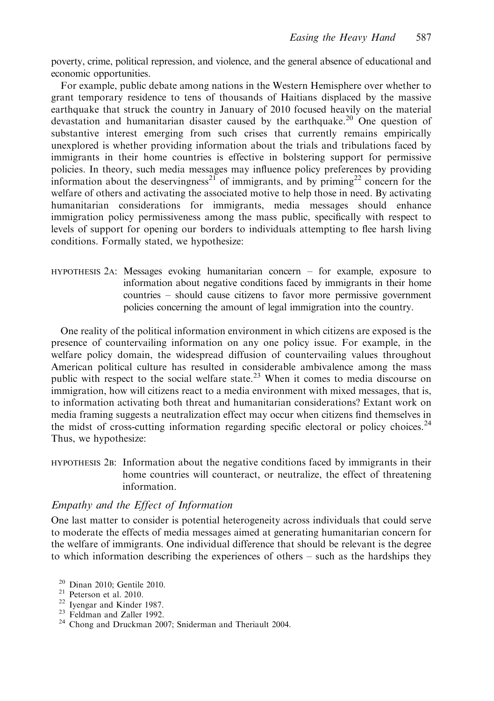poverty, crime, political repression, and violence, and the general absence of educational and economic opportunities.

For example, public debate among nations in the Western Hemisphere over whether to grant temporary residence to tens of thousands of Haitians displaced by the massive earthquake that struck the country in January of 2010 focused heavily on the material devastation and humanitarian disaster caused by the earthquake.<sup>20</sup> One question of substantive interest emerging from such crises that currently remains empirically unexplored is whether providing information about the trials and tribulations faced by immigrants in their home countries is effective in bolstering support for permissive policies. In theory, such media messages may influence policy preferences by providing information about the deservingness<sup>21</sup> of immigrants, and by priming<sup>22</sup> concern for the welfare of others and activating the associated motive to help those in need. By activating humanitarian considerations for immigrants, media messages should enhance immigration policy permissiveness among the mass public, specifically with respect to levels of support for opening our borders to individuals attempting to flee harsh living conditions. Formally stated, we hypothesize:

HYPOTHESIS 2A: Messages evoking humanitarian concern – for example, exposure to information about negative conditions faced by immigrants in their home countries – should cause citizens to favor more permissive government policies concerning the amount of legal immigration into the country.

One reality of the political information environment in which citizens are exposed is the presence of countervailing information on any one policy issue. For example, in the welfare policy domain, the widespread diffusion of countervailing values throughout American political culture has resulted in considerable ambivalence among the mass public with respect to the social welfare state.<sup>23</sup> When it comes to media discourse on immigration, how will citizens react to a media environment with mixed messages, that is, to information activating both threat and humanitarian considerations? Extant work on media framing suggests a neutralization effect may occur when citizens find themselves in the midst of cross-cutting information regarding specific electoral or policy choices.<sup>24</sup> Thus, we hypothesize:

HYPOTHESIS 2B: Information about the negative conditions faced by immigrants in their home countries will counteract, or neutralize, the effect of threatening information.

## Empathy and the Effect of Information

One last matter to consider is potential heterogeneity across individuals that could serve to moderate the effects of media messages aimed at generating humanitarian concern for the welfare of immigrants. One individual difference that should be relevant is the degree to which information describing the experiences of others – such as the hardships they

- 
- 
- <sup>20</sup> Dinan 2010; Gentile 2010.<br><sup>21</sup> Peterson et al. 2010.<br><sup>22</sup> Iyengar and Kinder 1987.<br><sup>23</sup> Feldman and Zaller 1992.<br><sup>24</sup> Chong and Druckman 2007; Sniderman and Theriault 2004.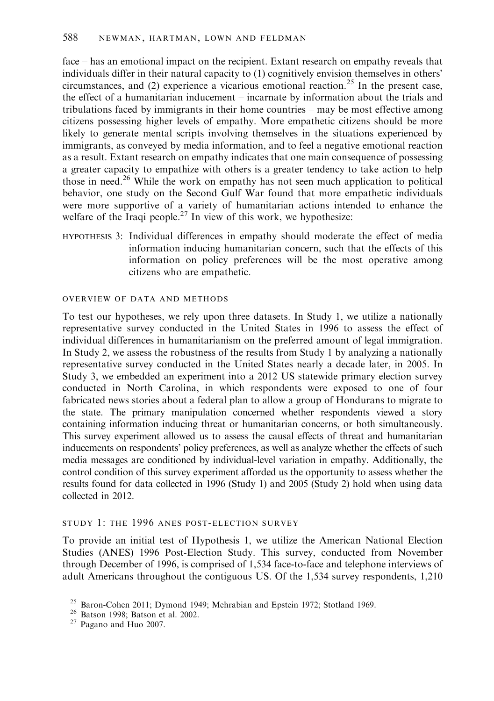face – has an emotional impact on the recipient. Extant research on empathy reveals that individuals differ in their natural capacity to (1) cognitively envision themselves in others' circumstances, and (2) experience a vicarious emotional reaction.<sup>25</sup> In the present case, the effect of a humanitarian inducement – incarnate by information about the trials and tribulations faced by immigrants in their home countries – may be most effective among citizens possessing higher levels of empathy. More empathetic citizens should be more likely to generate mental scripts involving themselves in the situations experienced by immigrants, as conveyed by media information, and to feel a negative emotional reaction as a result. Extant research on empathy indicates that one main consequence of possessing a greater capacity to empathize with others is a greater tendency to take action to help those in need.<sup>26</sup> While the work on empathy has not seen much application to political behavior, one study on the Second Gulf War found that more empathetic individuals were more supportive of a variety of humanitarian actions intended to enhance the welfare of the Iraqi people.<sup>27</sup> In view of this work, we hypothesize:

HYPOTHESIS 3: Individual differences in empathy should moderate the effect of media information inducing humanitarian concern, such that the effects of this information on policy preferences will be the most operative among citizens who are empathetic.

#### OVERVIEW OF DATA AND METHODS

To test our hypotheses, we rely upon three datasets. In Study 1, we utilize a nationally representative survey conducted in the United States in 1996 to assess the effect of individual differences in humanitarianism on the preferred amount of legal immigration. In Study 2, we assess the robustness of the results from Study 1 by analyzing a nationally representative survey conducted in the United States nearly a decade later, in 2005. In Study 3, we embedded an experiment into a 2012 US statewide primary election survey conducted in North Carolina, in which respondents were exposed to one of four fabricated news stories about a federal plan to allow a group of Hondurans to migrate to the state. The primary manipulation concerned whether respondents viewed a story containing information inducing threat or humanitarian concerns, or both simultaneously. This survey experiment allowed us to assess the causal effects of threat and humanitarian inducements on respondents' policy preferences, as well as analyze whether the effects of such media messages are conditioned by individual-level variation in empathy. Additionally, the control condition of this survey experiment afforded us the opportunity to assess whether the results found for data collected in 1996 (Study 1) and 2005 (Study 2) hold when using data collected in 2012.

## STUDY 1: THE 1996 ANES POST-ELECTION SURVEY

To provide an initial test of Hypothesis 1, we utilize the American National Election Studies (ANES) 1996 Post-Election Study. This survey, conducted from November through December of 1996, is comprised of 1,534 face-to-face and telephone interviews of adult Americans throughout the contiguous US. Of the 1,534 survey respondents, 1,210

<sup>&</sup>lt;sup>25</sup> Baron-Cohen 2011; Dymond 1949; Mehrabian and Epstein 1972; Stotland 1969.<br><sup>26</sup> Batson 1998; Batson et al. 2002.<br><sup>27</sup> Pagano and Huo 2007.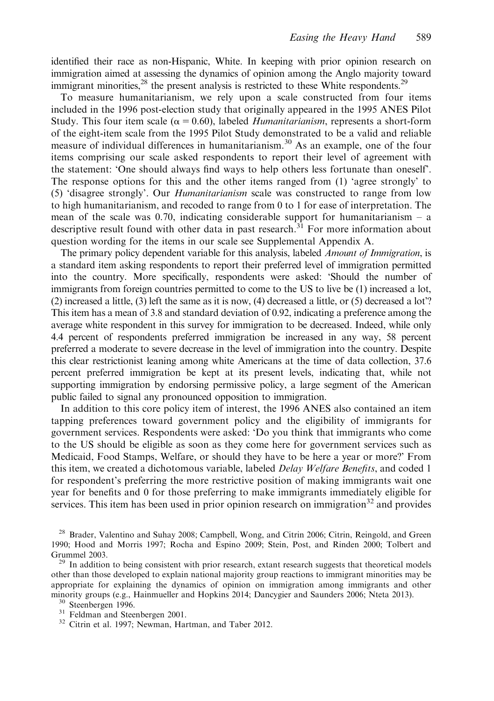identified their race as non-Hispanic, White. In keeping with prior opinion research on immigration aimed at assessing the dynamics of opinion among the Anglo majority toward immigrant minorities,<sup>28</sup> the present analysis is restricted to these White respondents.<sup>29</sup>

To measure humanitarianism, we rely upon a scale constructed from four items included in the 1996 post-election study that originally appeared in the 1995 ANES Pilot Study. This four item scale ( $\alpha = 0.60$ ), labeled *Humanitarianism*, represents a short-form of the eight-item scale from the 1995 Pilot Study demonstrated to be a valid and reliable measure of individual differences in humanitarianism.<sup>30</sup> As an example, one of the four items comprising our scale asked respondents to report their level of agreement with the statement: 'One should always find ways to help others less fortunate than oneself'. The response options for this and the other items ranged from (1) 'agree strongly' to (5) 'disagree strongly'. Our Humanitarianism scale was constructed to range from low to high humanitarianism, and recoded to range from 0 to 1 for ease of interpretation. The mean of the scale was 0.70, indicating considerable support for humanitarianism  $- a$ descriptive result found with other data in past research.<sup>31</sup> For more information about question wording for the items in our scale see Supplemental Appendix A.

The primary policy dependent variable for this analysis, labeled Amount of Immigration, is a standard item asking respondents to report their preferred level of immigration permitted into the country. More specifically, respondents were asked: 'Should the number of immigrants from foreign countries permitted to come to the US to live be (1) increased a lot, (2) increased a little, (3) left the same as it is now, (4) decreased a little, or (5) decreased a lot'? This item has a mean of 3.8 and standard deviation of 0.92, indicating a preference among the average white respondent in this survey for immigration to be decreased. Indeed, while only 4.4 percent of respondents preferred immigration be increased in any way, 58 percent preferred a moderate to severe decrease in the level of immigration into the country. Despite this clear restrictionist leaning among white Americans at the time of data collection, 37.6 percent preferred immigration be kept at its present levels, indicating that, while not supporting immigration by endorsing permissive policy, a large segment of the American public failed to signal any pronounced opposition to immigration.

In addition to this core policy item of interest, the 1996 ANES also contained an item tapping preferences toward government policy and the eligibility of immigrants for government services. Respondents were asked: 'Do you think that immigrants who come to the US should be eligible as soon as they come here for government services such as Medicaid, Food Stamps, Welfare, or should they have to be here a year or more?' From this item, we created a dichotomous variable, labeled *Delay Welfare Benefits*, and coded 1 for respondent's preferring the more restrictive position of making immigrants wait one year for benefits and 0 for those preferring to make immigrants immediately eligible for services. This item has been used in prior opinion research on immigration<sup>32</sup> and provides

other than those developed to explain national majority group reactions to immigrant minorities may be appropriate for explaining the dynamics of opinion on immigration among immigrants and other minority groups (e.g., Hainmueller and Hopkins 2014; Dancygier and Saunders 2006; Nteta 2013).<br><sup>30</sup> Steenbergen 1996.<br><sup>31</sup> Feldman and Steenbergen 2001.<br><sup>32</sup> Citrin et al. 1997; Newman, Hartman, and Taber 2012.

<sup>&</sup>lt;sup>28</sup> Brader, Valentino and Suhay 2008; Campbell, Wong, and Citrin 2006; Citrin, Reingold, and Green 1990; Hood and Morris 1997; Rocha and Espino 2009; Stein, Post, and Rinden 2000; Tolbert and Grummel 2003.<br><sup>29</sup> In addition to being consistent with prior research, extant research suggests that theoretical models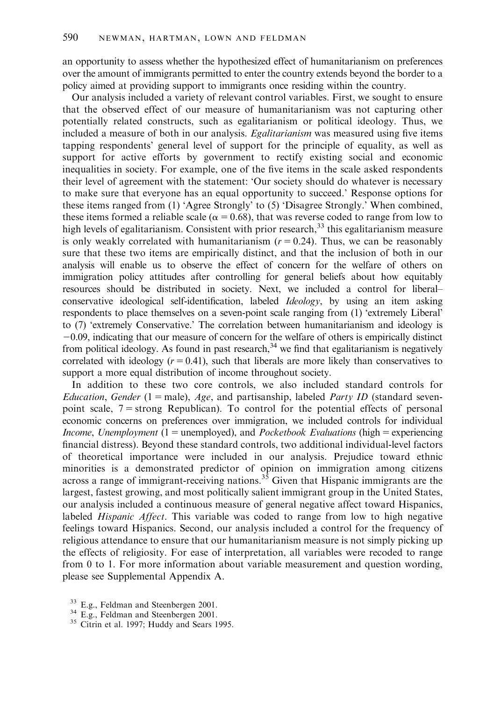an opportunity to assess whether the hypothesized effect of humanitarianism on preferences over the amount of immigrants permitted to enter the country extends beyond the border to a policy aimed at providing support to immigrants once residing within the country.

Our analysis included a variety of relevant control variables. First, we sought to ensure that the observed effect of our measure of humanitarianism was not capturing other potentially related constructs, such as egalitarianism or political ideology. Thus, we included a measure of both in our analysis. Egalitarianism was measured using five items tapping respondents' general level of support for the principle of equality, as well as support for active efforts by government to rectify existing social and economic inequalities in society. For example, one of the five items in the scale asked respondents their level of agreement with the statement: 'Our society should do whatever is necessary to make sure that everyone has an equal opportunity to succeed.' Response options for these items ranged from (1) 'Agree Strongly' to (5) 'Disagree Strongly.' When combined, these items formed a reliable scale ( $\alpha = 0.68$ ), that was reverse coded to range from low to high levels of egalitarianism. Consistent with prior research,<sup>33</sup> this egalitarianism measure is only weakly correlated with humanitarianism  $(r = 0.24)$ . Thus, we can be reasonably sure that these two items are empirically distinct, and that the inclusion of both in our analysis will enable us to observe the effect of concern for the welfare of others on immigration policy attitudes after controlling for general beliefs about how equitably resources should be distributed in society. Next, we included a control for liberal– conservative ideological self-identification, labeled  $Ideology$ , by using an item asking respondents to place themselves on a seven-point scale ranging from (1) 'extremely Liberal' to (7) 'extremely Conservative.' The correlation between humanitarianism and ideology is  $-0.09$ , indicating that our measure of concern for the welfare of others is empirically distinct from political ideology. As found in past research,  $34$  we find that egalitarianism is negatively correlated with ideology  $(r = 0.41)$ , such that liberals are more likely than conservatives to support a more equal distribution of income throughout society.

In addition to these two core controls, we also included standard controls for *Education, Gender* (1 = male), Age, and partisanship, labeled *Party ID* (standard sevenpoint scale,  $7 =$ strong Republican). To control for the potential effects of personal economic concerns on preferences over immigration, we included controls for individual *Income, Unemployment* (1 = unemployed), and *Pocketbook Evaluations* (high = experiencing financial distress). Beyond these standard controls, two additional individual-level factors of theoretical importance were included in our analysis. Prejudice toward ethnic minorities is a demonstrated predictor of opinion on immigration among citizens across a range of immigrant-receiving nations.<sup>35</sup> Given that Hispanic immigrants are the largest, fastest growing, and most politically salient immigrant group in the United States, our analysis included a continuous measure of general negative affect toward Hispanics, labeled *Hispanic Affect*. This variable was coded to range from low to high negative feelings toward Hispanics. Second, our analysis included a control for the frequency of religious attendance to ensure that our humanitarianism measure is not simply picking up the effects of religiosity. For ease of interpretation, all variables were recoded to range from 0 to 1. For more information about variable measurement and question wording, please see Supplemental Appendix A.

<sup>&</sup>lt;sup>33</sup> E.g., Feldman and Steenbergen 2001.<br><sup>34</sup> E.g., Feldman and Steenbergen 2001.<br><sup>35</sup> Citrin et al. 1997; Huddy and Sears 1995.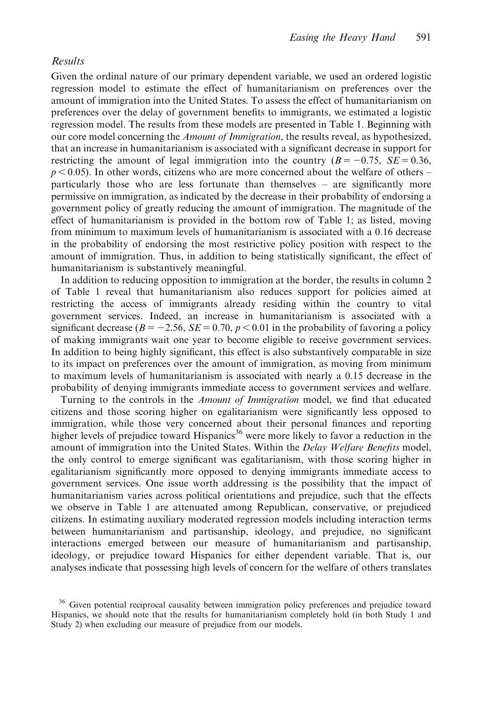## Results

Given the ordinal nature of our primary dependent variable, we used an ordered logistic regression model to estimate the effect of humanitarianism on preferences over the amount of immigration into the United States. To assess the effect of humanitarianism on preferences over the delay of government benefits to immigrants, we estimated a logistic regression model. The results from these models are presented in Table 1. Beginning with our core model concerning the *Amount of Immigration*, the results reveal, as hypothesized, that an increase in humanitarianism is associated with a significant decrease in support for restricting the amount of legal immigration into the country ( $B = -0.75$ ,  $SE = 0.36$ ,  $p < 0.05$ ). In other words, citizens who are more concerned about the welfare of others – particularly those who are less fortunate than themselves – are significantly more permissive on immigration, as indicated by the decrease in their probability of endorsing a government policy of greatly reducing the amount of immigration. The magnitude of the effect of humanitarianism is provided in the bottom row of Table 1; as listed, moving from minimum to maximum levels of humanitarianism is associated with a 0.16 decrease in the probability of endorsing the most restrictive policy position with respect to the amount of immigration. Thus, in addition to being statistically significant, the effect of humanitarianism is substantively meaningful.

In addition to reducing opposition to immigration at the border, the results in column 2 of Table 1 reveal that humanitarianism also reduces support for policies aimed at restricting the access of immigrants already residing within the country to vital government services. Indeed, an increase in humanitarianism is associated with a significant decrease  $(B = -2.56, SE = 0.70, p < 0.01$  in the probability of favoring a policy of making immigrants wait one year to become eligible to receive government services. In addition to being highly significant, this effect is also substantively comparable in size to its impact on preferences over the amount of immigration, as moving from minimum to maximum levels of humanitarianism is associated with nearly a 0.15 decrease in the probability of denying immigrants immediate access to government services and welfare.

Turning to the controls in the *Amount of Immigration* model, we find that educated citizens and those scoring higher on egalitarianism were significantly less opposed to immigration, while those very concerned about their personal finances and reporting higher levels of prejudice toward Hispanics<sup>36</sup> were more likely to favor a reduction in the amount of immigration into the United States. Within the Delay Welfare Benefits model, the only control to emerge significant was egalitarianism, with those scoring higher in egalitarianism significantly more opposed to denying immigrants immediate access to government services. One issue worth addressing is the possibility that the impact of humanitarianism varies across political orientations and prejudice, such that the effects we observe in Table 1 are attenuated among Republican, conservative, or prejudiced citizens. In estimating auxiliary moderated regression models including interaction terms between humanitarianism and partisanship, ideology, and prejudice, no significant interactions emerged between our measure of humanitarianism and partisanship, ideology, or prejudice toward Hispanics for either dependent variable. That is, our analyses indicate that possessing high levels of concern for the welfare of others translates

<sup>&</sup>lt;sup>36</sup> Given potential reciprocal causality between immigration policy preferences and prejudice toward Hispanics, we should note that the results for humanitarianism completely hold (in both Study 1 and Study 2) when excluding our measure of prejudice from our models.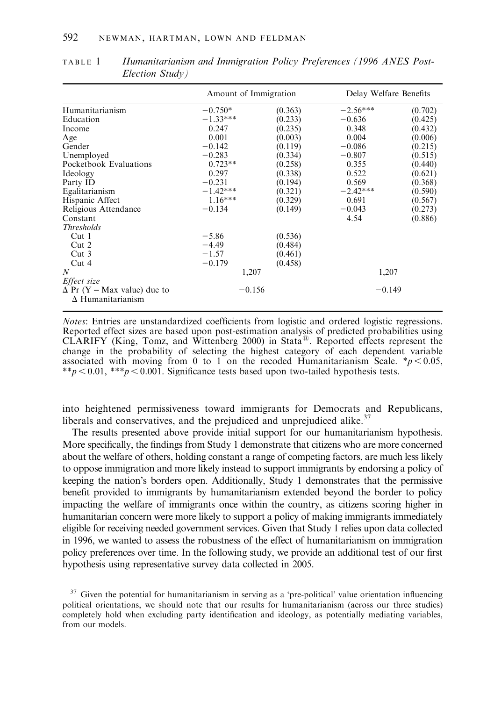|                                                                | Amount of Immigration |         | Delay Welfare Benefits |         |  |
|----------------------------------------------------------------|-----------------------|---------|------------------------|---------|--|
| Humanitarianism                                                | $-0.750*$             | (0.363) | $-2.56***$             | (0.702) |  |
| Education                                                      | $-1.33***$            | (0.233) | $-0.636$               | (0.425) |  |
| Income                                                         | 0.247                 | (0.235) | 0.348                  | (0.432) |  |
| Age                                                            | 0.001                 | (0.003) | 0.004                  | (0.006) |  |
| Gender                                                         | $-0.142$              | (0.119) | $-0.086$               | (0.215) |  |
| Unemployed                                                     | $-0.283$              | (0.334) | $-0.807$               | (0.515) |  |
| Pocketbook Evaluations                                         | $0.723**$             | (0.258) | 0.355                  | (0.440) |  |
| Ideology                                                       | 0.297                 | (0.338) | 0.522                  | (0.621) |  |
| Party ID                                                       | $-0.231$              | (0.194) | 0.569                  | (0.368) |  |
| Egalitarianism                                                 | $-1.42***$            | (0.321) | $-2.42***$             | (0.590) |  |
| Hispanic Affect                                                | $1.16***$             | (0.329) | 0.691                  | (0.567) |  |
| Religious Attendance                                           | $-0.134$              | (0.149) | $-0.043$               | (0.273) |  |
| Constant                                                       |                       |         | 4.54                   | (0.886) |  |
| <i>Thresholds</i>                                              |                       |         |                        |         |  |
| Cut <sub>1</sub>                                               | $-5.86$               | (0.536) |                        |         |  |
| Cut 2                                                          | $-4.49$               | (0.484) |                        |         |  |
| Cut <sub>3</sub>                                               | $-1.57$               | (0.461) |                        |         |  |
| Cut 4                                                          | $-0.179$              | (0.458) |                        |         |  |
| N                                                              | 1,207                 |         | 1,207                  |         |  |
| Effect size                                                    |                       |         |                        |         |  |
| $\Delta$ Pr (Y = Max value) due to<br>$\Delta$ Humanitarianism | $-0.156$              |         | $-0.149$               |         |  |

TABLE 1 Humanitarianism and Immigration Policy Preferences (1996 ANES Post-Election Study)

Notes: Entries are unstandardized coefficients from logistic and ordered logistic regressions. Reported effect sizes are based upon post-estimation analysis of predicted probabilities using  $CLARIFY$  (King, Tomz, and Wittenberg 2000) in Stata<sup>®</sup>. Reported effects represent the change in the probability of selecting the highest category of each dependent variable associated with moving from 0 to 1 on the recoded Humanitarianism Scale.  $\ast p < 0.05$ , \*\*p  $< 0.01$ , \*\*\*p  $< 0.001$ . Significance tests based upon two-tailed hypothesis tests.

into heightened permissiveness toward immigrants for Democrats and Republicans, liberals and conservatives, and the prejudiced and unprejudiced alike. $37$ 

The results presented above provide initial support for our humanitarianism hypothesis. More specifically, the findings from Study 1 demonstrate that citizens who are more concerned about the welfare of others, holding constant a range of competing factors, are much less likely to oppose immigration and more likely instead to support immigrants by endorsing a policy of keeping the nation's borders open. Additionally, Study 1 demonstrates that the permissive benefit provided to immigrants by humanitarianism extended beyond the border to policy impacting the welfare of immigrants once within the country, as citizens scoring higher in humanitarian concern were more likely to support a policy of making immigrants immediately eligible for receiving needed government services. Given that Study 1 relies upon data collected in 1996, we wanted to assess the robustness of the effect of humanitarianism on immigration policy preferences over time. In the following study, we provide an additional test of our first hypothesis using representative survey data collected in 2005.

 $37$  Given the potential for humanitarianism in serving as a 'pre-political' value orientation influencing political orientations, we should note that our results for humanitarianism (across our three studies) completely hold when excluding party identification and ideology, as potentially mediating variables, from our models.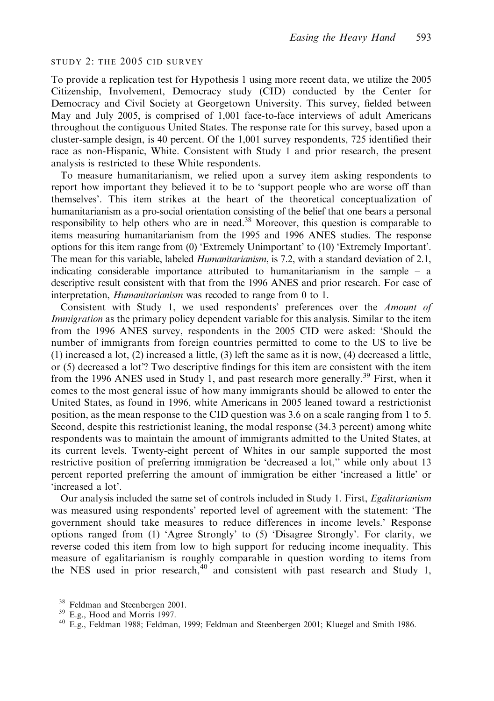## STUDY 2: THE 2005 CID SURVEY

To provide a replication test for Hypothesis 1 using more recent data, we utilize the 2005 Citizenship, Involvement, Democracy study (CID) conducted by the Center for Democracy and Civil Society at Georgetown University. This survey, fielded between May and July 2005, is comprised of 1,001 face-to-face interviews of adult Americans throughout the contiguous United States. The response rate for this survey, based upon a cluster-sample design, is 40 percent. Of the 1,001 survey respondents, 725 identified their race as non-Hispanic, White. Consistent with Study 1 and prior research, the present analysis is restricted to these White respondents.

To measure humanitarianism, we relied upon a survey item asking respondents to report how important they believed it to be to 'support people who are worse off than themselves'. This item strikes at the heart of the theoretical conceptualization of humanitarianism as a pro-social orientation consisting of the belief that one bears a personal responsibility to help others who are in need.<sup>38</sup> Moreover, this question is comparable to items measuring humanitarianism from the 1995 and 1996 ANES studies. The response options for this item range from (0) 'Extremely Unimportant' to (10) 'Extremely Important'. The mean for this variable, labeled *Humanitarianism*, is 7.2, with a standard deviation of 2.1, indicating considerable importance attributed to humanitarianism in the sample – a descriptive result consistent with that from the 1996 ANES and prior research. For ease of interpretation, Humanitarianism was recoded to range from 0 to 1.

Consistent with Study 1, we used respondents' preferences over the *Amount of* Immigration as the primary policy dependent variable for this analysis. Similar to the item from the 1996 ANES survey, respondents in the 2005 CID were asked: 'Should the number of immigrants from foreign countries permitted to come to the US to live be  $(1)$  increased a lot,  $(2)$  increased a little,  $(3)$  left the same as it is now,  $(4)$  decreased a little, or (5) decreased a lot'? Two descriptive findings for this item are consistent with the item from the 1996 ANES used in Study 1, and past research more generally.39 First, when it comes to the most general issue of how many immigrants should be allowed to enter the United States, as found in 1996, white Americans in 2005 leaned toward a restrictionist position, as the mean response to the CID question was 3.6 on a scale ranging from 1 to 5. Second, despite this restrictionist leaning, the modal response (34.3 percent) among white respondents was to maintain the amount of immigrants admitted to the United States, at its current levels. Twenty-eight percent of Whites in our sample supported the most restrictive position of preferring immigration be 'decreased a lot,'' while only about 13 percent reported preferring the amount of immigration be either 'increased a little' or 'increased a lot'.

Our analysis included the same set of controls included in Study 1. First, Egalitarianism was measured using respondents' reported level of agreement with the statement: 'The government should take measures to reduce differences in income levels.' Response options ranged from (1) 'Agree Strongly' to (5) 'Disagree Strongly'. For clarity, we reverse coded this item from low to high support for reducing income inequality. This measure of egalitarianism is roughly comparable in question wording to items from the NES used in prior research, $40$  and consistent with past research and Study 1,

<sup>&</sup>lt;sup>38</sup> Feldman and Steenbergen 2001.<br><sup>39</sup> E.g., Hood and Morris 1997.<br><sup>40</sup> E.g., Feldman 1988; Feldman, 1999; Feldman and Steenbergen 2001; Kluegel and Smith 1986.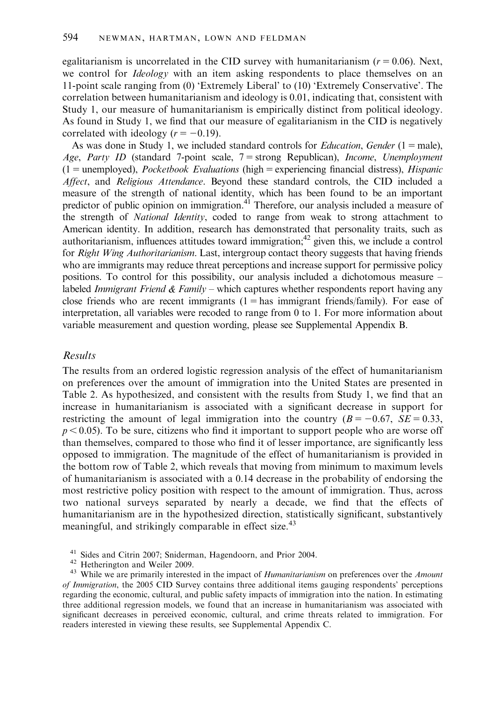egalitarianism is uncorrelated in the CID survey with humanitarianism ( $r = 0.06$ ). Next, we control for *Ideology* with an item asking respondents to place themselves on an 11-point scale ranging from (0) 'Extremely Liberal' to (10) 'Extremely Conservative'. The correlation between humanitarianism and ideology is 0.01, indicating that, consistent with Study 1, our measure of humanitarianism is empirically distinct from political ideology. As found in Study 1, we find that our measure of egalitarianism in the CID is negatively correlated with ideology ( $r = -0.19$ ).

As was done in Study 1, we included standard controls for *Education*, *Gender*  $(1 = male)$ , Age, Party ID (standard 7-point scale,  $7 =$  strong Republican), Income, Unemployment  $(1 =$  unemployed), *Pocketbook Evaluations* (high  $=$  experiencing financial distress), *Hispanic* Affect, and Religious Attendance. Beyond these standard controls, the CID included a measure of the strength of national identity, which has been found to be an important predictor of public opinion on immigration.<sup>41</sup> Therefore, our analysis included a measure of the strength of National Identity, coded to range from weak to strong attachment to American identity. In addition, research has demonstrated that personality traits, such as authoritarianism, influences attitudes toward immigration;<sup>42</sup> given this, we include a control for Right Wing Authoritarianism. Last, intergroup contact theory suggests that having friends who are immigrants may reduce threat perceptions and increase support for permissive policy positions. To control for this possibility, our analysis included a dichotomous measure – labeled *Immigrant Friend & Family* – which captures whether respondents report having any close friends who are recent immigrants  $(1 = has\text{ *immigrant* }$  friends/family). For ease of interpretation, all variables were recoded to range from 0 to 1. For more information about variable measurement and question wording, please see Supplemental Appendix B.

## Results

The results from an ordered logistic regression analysis of the effect of humanitarianism on preferences over the amount of immigration into the United States are presented in Table 2. As hypothesized, and consistent with the results from Study 1, we find that an increase in humanitarianism is associated with a significant decrease in support for restricting the amount of legal immigration into the country ( $B = -0.67$ ,  $SE = 0.33$ ,  $p < 0.05$ ). To be sure, citizens who find it important to support people who are worse off than themselves, compared to those who find it of lesser importance, are significantly less opposed to immigration. The magnitude of the effect of humanitarianism is provided in the bottom row of Table 2, which reveals that moving from minimum to maximum levels of humanitarianism is associated with a 0.14 decrease in the probability of endorsing the most restrictive policy position with respect to the amount of immigration. Thus, across two national surveys separated by nearly a decade, we find that the effects of humanitarianism are in the hypothesized direction, statistically significant, substantively meaningful, and strikingly comparable in effect size.<sup>43</sup>

<sup>41</sup> Sides and Citrin 2007; Sniderman, Hagendoorn, and Prior 2004.<br><sup>42</sup> Hetherington and Weiler 2009.<br><sup>43</sup> While we are primarily interested in the impact of *Humanitarianism* on preferences over the *Amount* of Immigration, the 2005 CID Survey contains three additional items gauging respondents' perceptions regarding the economic, cultural, and public safety impacts of immigration into the nation. In estimating three additional regression models, we found that an increase in humanitarianism was associated with significant decreases in perceived economic, cultural, and crime threats related to immigration. For readers interested in viewing these results, see Supplemental Appendix C.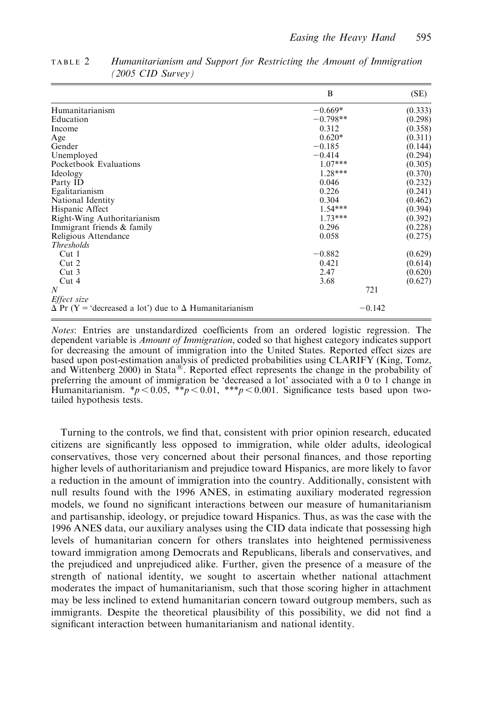|                                                                     | B          | (SE)    |
|---------------------------------------------------------------------|------------|---------|
| Humanitarianism                                                     | $-0.669*$  | (0.333) |
| Education                                                           | $-0.798**$ | (0.298) |
| Income                                                              | 0.312      | (0.358) |
| Age                                                                 | $0.620*$   | (0.311) |
| Gender                                                              | $-0.185$   | (0.144) |
| Unemployed                                                          | $-0.414$   | (0.294) |
| Pocketbook Evaluations                                              | $1.07***$  | (0.305) |
| Ideology                                                            | $1.28***$  | (0.370) |
| Party ID                                                            | 0.046      | (0.232) |
| Egalitarianism                                                      | 0.226      | (0.241) |
| National Identity                                                   | 0.304      | (0.462) |
| Hispanic Affect                                                     | $1.54***$  | (0.394) |
| Right-Wing Authoritarianism                                         | $1.73***$  | (0.392) |
| Immigrant friends & family                                          | 0.296      | (0.228) |
| Religious Attendance                                                | 0.058      | (0.275) |
| Thresholds                                                          |            |         |
| Cut <sub>1</sub>                                                    | $-0.882$   | (0.629) |
| Cut <sub>2</sub>                                                    | 0.421      | (0.614) |
| Cut <sub>3</sub>                                                    | 2.47       | (0.620) |
| Cut <sub>4</sub>                                                    | 3.68       | (0.627) |
| N                                                                   | 721        |         |
| <i>Effect size</i>                                                  |            |         |
| $\Delta$ Pr (Y = 'decreased a lot') due to $\Delta$ Humanitarianism | $-0.142$   |         |

TABLE 2 Humanitarianism and Support for Restricting the Amount of Immigration (2005 CID Survey)

Notes: Entries are unstandardized coefficients from an ordered logistic regression. The dependent variable is *Amount of Immigration*, coded so that highest category indicates support for decreasing the amount of immigration into the United States. Reported effect sizes are based upon post-estimation analysis of predicted probabilities using CLARIFY (King, Tomz, and Wittenberg 2000) in Stata<sup>®</sup>. Reported effect represents the change in the probability of preferring the amount of immigration be 'decreased a lot' associated with a 0 to 1 change in Humanitarianism.  $\binom{*}{p} < 0.05$ ,  $\binom{*}{p} < 0.01$ ,  $\binom{*}{p} < 0.001$ . Significance tests based upon twotailed hypothesis tests.

Turning to the controls, we find that, consistent with prior opinion research, educated citizens are significantly less opposed to immigration, while older adults, ideological conservatives, those very concerned about their personal finances, and those reporting higher levels of authoritarianism and prejudice toward Hispanics, are more likely to favor a reduction in the amount of immigration into the country. Additionally, consistent with null results found with the 1996 ANES, in estimating auxiliary moderated regression models, we found no significant interactions between our measure of humanitarianism and partisanship, ideology, or prejudice toward Hispanics. Thus, as was the case with the 1996 ANES data, our auxiliary analyses using the CID data indicate that possessing high levels of humanitarian concern for others translates into heightened permissiveness toward immigration among Democrats and Republicans, liberals and conservatives, and the prejudiced and unprejudiced alike. Further, given the presence of a measure of the strength of national identity, we sought to ascertain whether national attachment moderates the impact of humanitarianism, such that those scoring higher in attachment may be less inclined to extend humanitarian concern toward outgroup members, such as immigrants. Despite the theoretical plausibility of this possibility, we did not find a significant interaction between humanitarianism and national identity.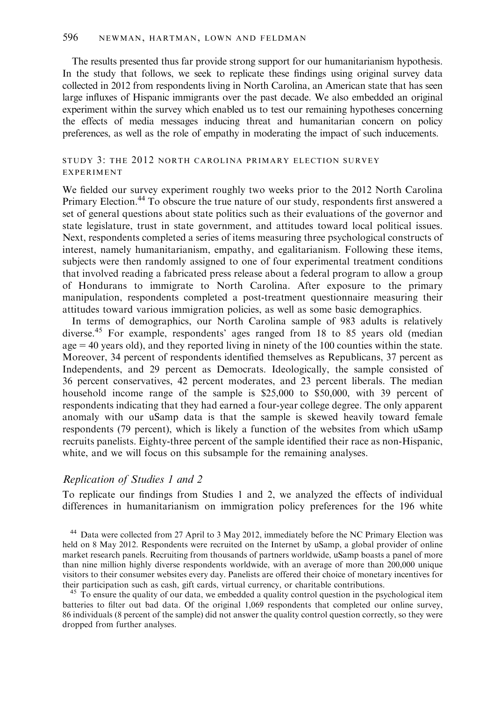The results presented thus far provide strong support for our humanitarianism hypothesis. In the study that follows, we seek to replicate these findings using original survey data collected in 2012 from respondents living in North Carolina, an American state that has seen large influxes of Hispanic immigrants over the past decade. We also embedded an original experiment within the survey which enabled us to test our remaining hypotheses concerning the effects of media messages inducing threat and humanitarian concern on policy preferences, as well as the role of empathy in moderating the impact of such inducements.

## STUDY 3: THE 2012 NORTH CAROLINA PRIMARY ELECTION SURVEY EXPERIMENT

We fielded our survey experiment roughly two weeks prior to the 2012 North Carolina Primary Election.<sup>44</sup> To obscure the true nature of our study, respondents first answered a set of general questions about state politics such as their evaluations of the governor and state legislature, trust in state government, and attitudes toward local political issues. Next, respondents completed a series of items measuring three psychological constructs of interest, namely humanitarianism, empathy, and egalitarianism. Following these items, subjects were then randomly assigned to one of four experimental treatment conditions that involved reading a fabricated press release about a federal program to allow a group of Hondurans to immigrate to North Carolina. After exposure to the primary manipulation, respondents completed a post-treatment questionnaire measuring their attitudes toward various immigration policies, as well as some basic demographics.

In terms of demographics, our North Carolina sample of 983 adults is relatively diverse.<sup>45</sup> For example, respondents' ages ranged from 18 to 85 years old (median  $age = 40 years old)$ , and they reported living in ninety of the 100 counties within the state. Moreover, 34 percent of respondents identified themselves as Republicans, 37 percent as Independents, and 29 percent as Democrats. Ideologically, the sample consisted of 36 percent conservatives, 42 percent moderates, and 23 percent liberals. The median household income range of the sample is \$25,000 to \$50,000, with 39 percent of respondents indicating that they had earned a four-year college degree. The only apparent anomaly with our uSamp data is that the sample is skewed heavily toward female respondents (79 percent), which is likely a function of the websites from which uSamp recruits panelists. Eighty-three percent of the sample identified their race as non-Hispanic, white, and we will focus on this subsample for the remaining analyses.

## Replication of Studies 1 and 2

To replicate our findings from Studies 1 and 2, we analyzed the effects of individual differences in humanitarianism on immigration policy preferences for the 196 white

<sup>44</sup> Data were collected from 27 April to 3 May 2012, immediately before the NC Primary Election was held on 8 May 2012. Respondents were recruited on the Internet by uSamp, a global provider of online market research panels. Recruiting from thousands of partners worldwide, uSamp boasts a panel of more than nine million highly diverse respondents worldwide, with an average of more than 200,000 unique visitors to their consumer websites every day. Panelists are offered their choice of monetary incentives for their participation such as cash, gift cards, virtual currency, or charitable contributions. <sup>45</sup> To ensure the quality of our data, we embedded a quality control question in the psychological item

batteries to filter out bad data. Of the original 1,069 respondents that completed our online survey, 86 individuals (8 percent of the sample) did not answer the quality control question correctly, so they were dropped from further analyses.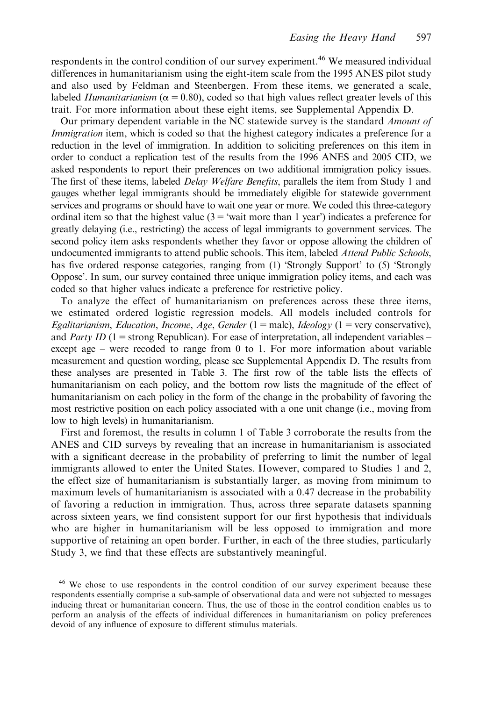respondents in the control condition of our survey experiment.<sup>46</sup> We measured individual differences in humanitarianism using the eight-item scale from the 1995 ANES pilot study and also used by Feldman and Steenbergen. From these items, we generated a scale, labeled *Humanitarianism* ( $\alpha = 0.80$ ), coded so that high values reflect greater levels of this trait. For more information about these eight items, see Supplemental Appendix D.

Our primary dependent variable in the NC statewide survey is the standard Amount of Immigration item, which is coded so that the highest category indicates a preference for a reduction in the level of immigration. In addition to soliciting preferences on this item in order to conduct a replication test of the results from the 1996 ANES and 2005 CID, we asked respondents to report their preferences on two additional immigration policy issues. The first of these items, labeled *Delay Welfare Benefits*, parallels the item from Study 1 and gauges whether legal immigrants should be immediately eligible for statewide government services and programs or should have to wait one year or more. We coded this three-category ordinal item so that the highest value  $(3 = 'wait more than 1 year')$  indicates a preference for greatly delaying (i.e., restricting) the access of legal immigrants to government services. The second policy item asks respondents whether they favor or oppose allowing the children of undocumented immigrants to attend public schools. This item, labeled Attend Public Schools, has five ordered response categories, ranging from (1) 'Strongly Support' to (5) 'Strongly Oppose'. In sum, our survey contained three unique immigration policy items, and each was coded so that higher values indicate a preference for restrictive policy.

To analyze the effect of humanitarianism on preferences across these three items, we estimated ordered logistic regression models. All models included controls for Egalitarianism, Education, Income, Age, Gender  $(1 = male)$ , Ideology  $(1 = very conservative)$ , and Party ID (1 = strong Republican). For ease of interpretation, all independent variables – except age – were recoded to range from 0 to 1. For more information about variable measurement and question wording, please see Supplemental Appendix D. The results from these analyses are presented in Table 3. The first row of the table lists the effects of humanitarianism on each policy, and the bottom row lists the magnitude of the effect of humanitarianism on each policy in the form of the change in the probability of favoring the most restrictive position on each policy associated with a one unit change (i.e., moving from low to high levels) in humanitarianism.

First and foremost, the results in column 1 of Table 3 corroborate the results from the ANES and CID surveys by revealing that an increase in humanitarianism is associated with a significant decrease in the probability of preferring to limit the number of legal immigrants allowed to enter the United States. However, compared to Studies 1 and 2, the effect size of humanitarianism is substantially larger, as moving from minimum to maximum levels of humanitarianism is associated with a 0.47 decrease in the probability of favoring a reduction in immigration. Thus, across three separate datasets spanning across sixteen years, we find consistent support for our first hypothesis that individuals who are higher in humanitarianism will be less opposed to immigration and more supportive of retaining an open border. Further, in each of the three studies, particularly Study 3, we find that these effects are substantively meaningful.

<sup>46</sup> We chose to use respondents in the control condition of our survey experiment because these respondents essentially comprise a sub-sample of observational data and were not subjected to messages inducing threat or humanitarian concern. Thus, the use of those in the control condition enables us to perform an analysis of the effects of individual differences in humanitarianism on policy preferences devoid of any influence of exposure to different stimulus materials.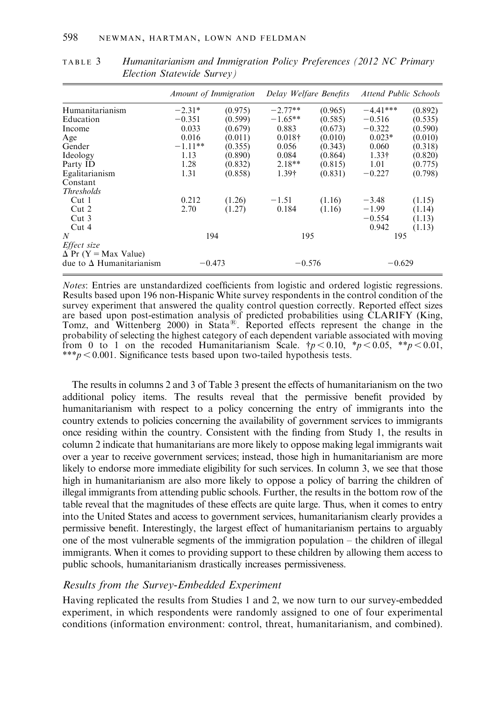|                                 | <i>Amount of Immigration</i> |         | Delay Welfare Benefits |         | Attend Public Schools |         |
|---------------------------------|------------------------------|---------|------------------------|---------|-----------------------|---------|
| Humanitarianism                 | $-2.31*$                     | (0.975) | $-2.77**$              | (0.965) | $-4.41***$            | (0.892) |
| Education                       | $-0.351$                     | (0.599) | $-1.65**$              | (0.585) | $-0.516$              | (0.535) |
| Income                          | 0.033                        | (0.679) | 0.883                  | (0.673) | $-0.322$              | (0.590) |
| Age                             | 0.016                        | (0.011) | $0.018\dagger$         | (0.010) | $0.023*$              | (0.010) |
| Gender                          | $-1.11**$                    | (0.355) | 0.056                  | (0.343) | 0.060                 | (0.318) |
| Ideology                        | 1.13                         | (0.890) | 0.084                  | (0.864) | $1.33\dagger$         | (0.820) |
| Party ID                        | 1.28                         | (0.832) | $2.18**$               | (0.815) | 1.01                  | (0.775) |
| Egalitarianism                  | 1.31                         | (0.858) | 1.39 <sup>†</sup>      | (0.831) | $-0.227$              | (0.798) |
| Constant                        |                              |         |                        |         |                       |         |
| <b>Thresholds</b>               |                              |         |                        |         |                       |         |
| Cut <sub>1</sub>                | 0.212                        | (1.26)  | $-1.51$                | (1.16)  | $-3.48$               | (1.15)  |
| Cut <sub>2</sub>                | 2.70                         | (1.27)  | 0.184                  | (1.16)  | $-1.99$               | (1.14)  |
| Cut <sub>3</sub>                |                              |         |                        |         | $-0.554$              | (1.13)  |
| Cut <sub>4</sub>                |                              |         |                        |         | 0.942                 | (1.13)  |
| N                               |                              | 194     |                        | 195     |                       | 195     |
| Effect size                     |                              |         |                        |         |                       |         |
| $\Delta$ Pr (Y = Max Value)     |                              |         |                        |         |                       |         |
| due to $\Delta$ Humanitarianism | $-0.473$                     |         | $-0.576$               |         | $-0.629$              |         |

TABLE 3 Humanitarianism and Immigration Policy Preferences (2012 NC Primary Election Statewide Survey)

Notes: Entries are unstandardized coefficients from logistic and ordered logistic regressions. Results based upon 196 non-Hispanic White survey respondents in the control condition of the survey experiment that answered the quality control question correctly. Reported effect sizes are based upon post-estimation analysis of predicted probabilities using CLARIFY (King,<br>Tomz, and Wittenberg 2000) in Stata®. Reported effects represent the change in the probability of selecting the highest category of each dependent variable associated with moving from 0 to 1 on the recoded Humanitarianism Scale.  $\frac{1}{7}p < 0.10$ ,  $\frac{k}{p} < 0.05$ ,  $\frac{k}{p} < 0.01$ , \*\*\*p  $< 0.001$ . Significance tests based upon two-tailed hypothesis tests.

The results in columns 2 and 3 of Table 3 present the effects of humanitarianism on the two additional policy items. The results reveal that the permissive benefit provided by humanitarianism with respect to a policy concerning the entry of immigrants into the country extends to policies concerning the availability of government services to immigrants once residing within the country. Consistent with the finding from Study 1, the results in column 2 indicate that humanitarians are more likely to oppose making legal immigrants wait over a year to receive government services; instead, those high in humanitarianism are more likely to endorse more immediate eligibility for such services. In column 3, we see that those high in humanitarianism are also more likely to oppose a policy of barring the children of illegal immigrants from attending public schools. Further, the results in the bottom row of the table reveal that the magnitudes of these effects are quite large. Thus, when it comes to entry into the United States and access to government services, humanitarianism clearly provides a permissive benefit. Interestingly, the largest effect of humanitarianism pertains to arguably one of the most vulnerable segments of the immigration population – the children of illegal immigrants. When it comes to providing support to these children by allowing them access to public schools, humanitarianism drastically increases permissiveness.

## Results from the Survey-Embedded Experiment

Having replicated the results from Studies 1 and 2, we now turn to our survey-embedded experiment, in which respondents were randomly assigned to one of four experimental conditions (information environment: control, threat, humanitarianism, and combined).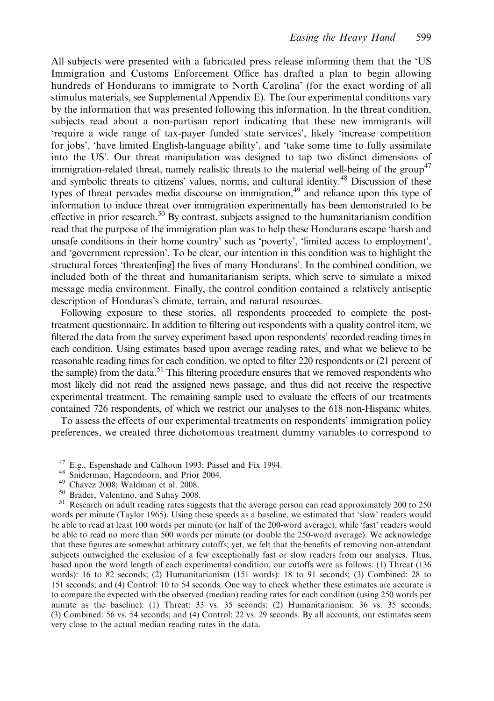All subjects were presented with a fabricated press release informing them that the 'US Immigration and Customs Enforcement Office has drafted a plan to begin allowing hundreds of Hondurans to immigrate to North Carolina' (for the exact wording of all stimulus materials, see Supplemental Appendix E). The four experimental conditions vary by the information that was presented following this information. In the threat condition, subjects read about a non-partisan report indicating that these new immigrants will 'require a wide range of tax-payer funded state services', likely 'increase competition for jobs', 'have limited English-language ability', and 'take some time to fully assimilate into the US'. Our threat manipulation was designed to tap two distinct dimensions of immigration-related threat, namely realistic threats to the material well-being of the group<sup>47</sup> and symbolic threats to citizens' values, norms, and cultural identity.<sup>48</sup> Discussion of these types of threat pervades media discourse on immigration,<sup>49</sup> and reliance upon this type of information to induce threat over immigration experimentally has been demonstrated to be effective in prior research.<sup>50</sup> By contrast, subjects assigned to the humanitarianism condition read that the purpose of the immigration plan was to help these Hondurans escape 'harsh and unsafe conditions in their home country' such as 'poverty', 'limited access to employment', and 'government repression'. To be clear, our intention in this condition was to highlight the structural forces 'threaten[ing] the lives of many Hondurans'. In the combined condition, we included both of the threat and humanitarianism scripts, which serve to simulate a mixed message media environment. Finally, the control condition contained a relatively antiseptic description of Honduras's climate, terrain, and natural resources.

Following exposure to these stories, all respondents proceeded to complete the posttreatment questionnaire. In addition to filtering out respondents with a quality control item, we filtered the data from the survey experiment based upon respondents' recorded reading times in each condition. Using estimates based upon average reading rates, and what we believe to be reasonable reading times for each condition, we opted to filter 220 respondents or (21 percent of the sample) from the data.<sup>51</sup> This filtering procedure ensures that we removed respondents who most likely did not read the assigned news passage, and thus did not receive the respective experimental treatment. The remaining sample used to evaluate the effects of our treatments contained 726 respondents, of which we restrict our analyses to the 618 non-Hispanic whites.

To assess the effects of our experimental treatments on respondents' immigration policy preferences, we created three dichotomous treatment dummy variables to correspond to

- 
- 
- 
- 

<sup>47</sup> E.g., Espenshade and Calhoun 1993; Passel and Fix 1994.<br><sup>48</sup> Sniderman, Hagendoorn, and Prior 2004.<br><sup>49</sup> Chavez 2008; Waldman et al. 2008.<br><sup>50</sup> Brader, Valentino, and Suhay 2008.<br><sup>51</sup> Research on adult reading rates words per minute (Taylor 1965). Using these speeds as a baseline, we estimated that 'slow' readers would be able to read at least 100 words per minute (or half of the 200-word average), while 'fast' readers would be able to read no more than 500 words per minute (or double the 250-word average). We acknowledge that these figures are somewhat arbitrary cutoffs; yet, we felt that the benefits of removing non-attendant subjects outweighed the exclusion of a few exceptionally fast or slow readers from our analyses. Thus, based upon the word length of each experimental condition, our cutoffs were as follows: (1) Threat (136 words): 16 to 82 seconds; (2) Humanitarianism (151 words): 18 to 91 seconds; (3) Combined: 28 to 151 seconds; and (4) Control: 10 to 54 seconds. One way to check whether these estimates are accurate is to compare the expected with the observed (median) reading rates for each condition (using 250 words per minute as the baseline): (1) Threat: 33 vs. 35 seconds; (2) Humanitarianism: 36 vs. 35 seconds; (3) Combined: 56 vs. 54 seconds; and (4) Control: 22 vs. 29 seconds. By all accounts, our estimates seem very close to the actual median reading rates in the data.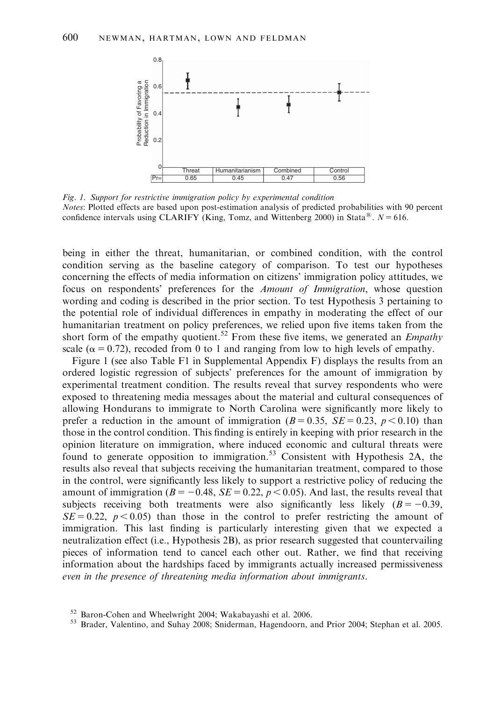

Fig. 1. Support for restrictive immigration policy by experimental condition Notes: Plotted effects are based upon post-estimation analysis of predicted probabilities with 90 percent confidence intervals using CLARIFY (King, Tomz, and Wittenberg 2000) in Stata<sup>®</sup>.  $N = 616$ .

being in either the threat, humanitarian, or combined condition, with the control condition serving as the baseline category of comparison. To test our hypotheses concerning the effects of media information on citizens' immigration policy attitudes, we focus on respondents' preferences for the Amount of Immigration, whose question wording and coding is described in the prior section. To test Hypothesis 3 pertaining to the potential role of individual differences in empathy in moderating the effect of our humanitarian treatment on policy preferences, we relied upon five items taken from the short form of the empathy quotient.<sup>52</sup> From these five items, we generated an *Empathy* scale ( $\alpha$  = 0.72), recoded from 0 to 1 and ranging from low to high levels of empathy.

Figure 1 (see also Table F1 in Supplemental Appendix F) displays the results from an ordered logistic regression of subjects' preferences for the amount of immigration by experimental treatment condition. The results reveal that survey respondents who were exposed to threatening media messages about the material and cultural consequences of allowing Hondurans to immigrate to North Carolina were significantly more likely to prefer a reduction in the amount of immigration ( $B = 0.35$ ,  $SE = 0.23$ ,  $p < 0.10$ ) than those in the control condition. This finding is entirely in keeping with prior research in the opinion literature on immigration, where induced economic and cultural threats were found to generate opposition to immigration.<sup>53</sup> Consistent with Hypothesis 2A, the results also reveal that subjects receiving the humanitarian treatment, compared to those in the control, were significantly less likely to support a restrictive policy of reducing the amount of immigration ( $B = -0.48$ ,  $SE = 0.22$ ,  $p < 0.05$ ). And last, the results reveal that subjects receiving both treatments were also significantly less likely  $(B = -0.39,$  $SE = 0.22$ ,  $p < 0.05$ ) than those in the control to prefer restricting the amount of immigration. This last finding is particularly interesting given that we expected a neutralization effect (i.e., Hypothesis 2B), as prior research suggested that countervailing pieces of information tend to cancel each other out. Rather, we find that receiving information about the hardships faced by immigrants actually increased permissiveness even in the presence of threatening media information about immigrants.

 $52$  Baron-Cohen and Wheelwright 2004; Wakabayashi et al. 2006.<br>  $53$  Brader, Valentino, and Suhay 2008; Sniderman, Hagendoorn, and Prior 2004; Stephan et al. 2005.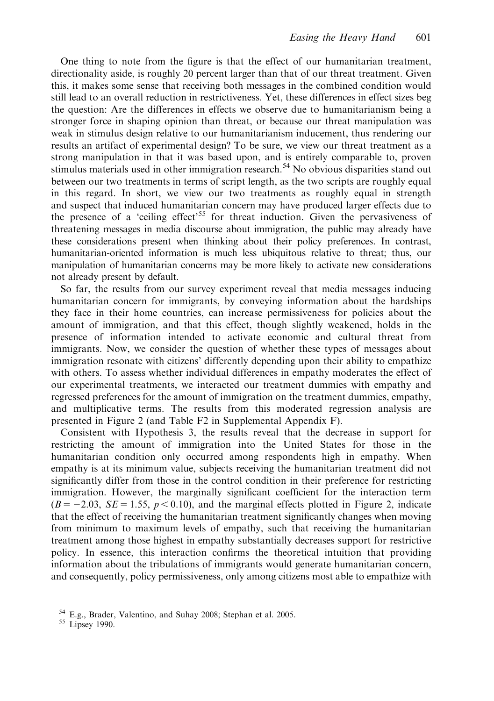One thing to note from the figure is that the effect of our humanitarian treatment, directionality aside, is roughly 20 percent larger than that of our threat treatment. Given this, it makes some sense that receiving both messages in the combined condition would still lead to an overall reduction in restrictiveness. Yet, these differences in effect sizes beg the question: Are the differences in effects we observe due to humanitarianism being a stronger force in shaping opinion than threat, or because our threat manipulation was weak in stimulus design relative to our humanitarianism inducement, thus rendering our results an artifact of experimental design? To be sure, we view our threat treatment as a strong manipulation in that it was based upon, and is entirely comparable to, proven stimulus materials used in other immigration research.<sup>54</sup> No obvious disparities stand out between our two treatments in terms of script length, as the two scripts are roughly equal in this regard. In short, we view our two treatments as roughly equal in strength and suspect that induced humanitarian concern may have produced larger effects due to the presence of a 'ceiling effect'<sup>55</sup> for threat induction. Given the pervasiveness of threatening messages in media discourse about immigration, the public may already have these considerations present when thinking about their policy preferences. In contrast, humanitarian-oriented information is much less ubiquitous relative to threat; thus, our manipulation of humanitarian concerns may be more likely to activate new considerations not already present by default.

So far, the results from our survey experiment reveal that media messages inducing humanitarian concern for immigrants, by conveying information about the hardships they face in their home countries, can increase permissiveness for policies about the amount of immigration, and that this effect, though slightly weakened, holds in the presence of information intended to activate economic and cultural threat from immigrants. Now, we consider the question of whether these types of messages about immigration resonate with citizens' differently depending upon their ability to empathize with others. To assess whether individual differences in empathy moderates the effect of our experimental treatments, we interacted our treatment dummies with empathy and regressed preferences for the amount of immigration on the treatment dummies, empathy, and multiplicative terms. The results from this moderated regression analysis are presented in Figure 2 (and Table F2 in Supplemental Appendix F).

Consistent with Hypothesis 3, the results reveal that the decrease in support for restricting the amount of immigration into the United States for those in the humanitarian condition only occurred among respondents high in empathy. When empathy is at its minimum value, subjects receiving the humanitarian treatment did not significantly differ from those in the control condition in their preference for restricting immigration. However, the marginally significant coefficient for the interaction term  $(B = -2.03, SE = 1.55, p < 0.10)$ , and the marginal effects plotted in Figure 2, indicate that the effect of receiving the humanitarian treatment significantly changes when moving from minimum to maximum levels of empathy, such that receiving the humanitarian treatment among those highest in empathy substantially decreases support for restrictive policy. In essence, this interaction confirms the theoretical intuition that providing information about the tribulations of immigrants would generate humanitarian concern, and consequently, policy permissiveness, only among citizens most able to empathize with

 $54$  E.g., Brader, Valentino, and Suhay 2008; Stephan et al. 2005.<br> $55$  Lipsey 1990.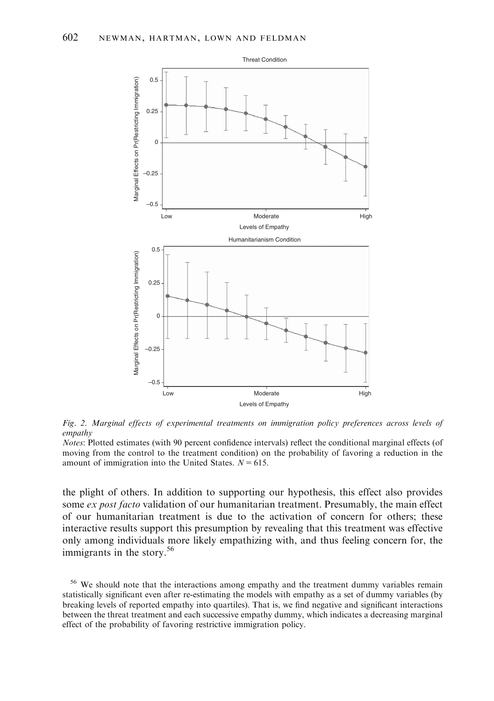

Fig. 2. Marginal effects of experimental treatments on immigration policy preferences across levels of empathy

Notes: Plotted estimates (with 90 percent confidence intervals) reflect the conditional marginal effects (of moving from the control to the treatment condition) on the probability of favoring a reduction in the amount of immigration into the United States.  $N = 615$ .

the plight of others. In addition to supporting our hypothesis, this effect also provides some ex post facto validation of our humanitarian treatment. Presumably, the main effect of our humanitarian treatment is due to the activation of concern for others; these interactive results support this presumption by revealing that this treatment was effective only among individuals more likely empathizing with, and thus feeling concern for, the immigrants in the story.<sup>56</sup>

<sup>56</sup> We should note that the interactions among empathy and the treatment dummy variables remain statistically significant even after re-estimating the models with empathy as a set of dummy variables (by breaking levels of reported empathy into quartiles). That is, we find negative and significant interactions between the threat treatment and each successive empathy dummy, which indicates a decreasing marginal effect of the probability of favoring restrictive immigration policy.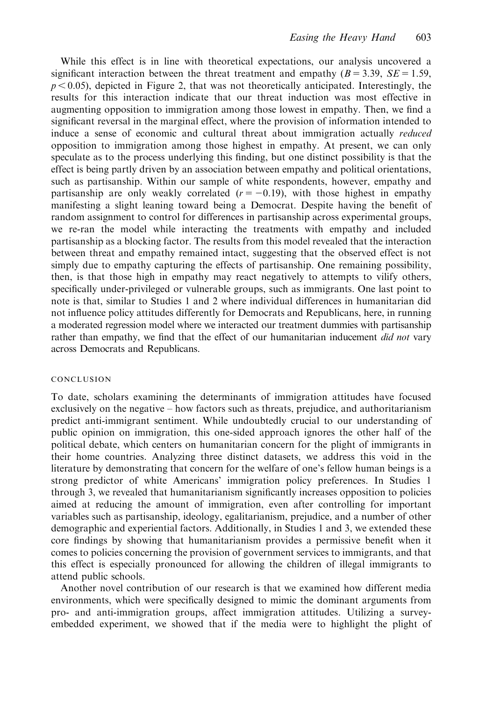While this effect is in line with theoretical expectations, our analysis uncovered a significant interaction between the threat treatment and empathy ( $B = 3.39$ ,  $SE = 1.59$ ,  $p < 0.05$ ), depicted in Figure 2, that was not theoretically anticipated. Interestingly, the results for this interaction indicate that our threat induction was most effective in augmenting opposition to immigration among those lowest in empathy. Then, we find a significant reversal in the marginal effect, where the provision of information intended to induce a sense of economic and cultural threat about immigration actually reduced opposition to immigration among those highest in empathy. At present, we can only speculate as to the process underlying this finding, but one distinct possibility is that the effect is being partly driven by an association between empathy and political orientations, such as partisanship. Within our sample of white respondents, however, empathy and partisanship are only weakly correlated  $(r = -0.19)$ , with those highest in empathy manifesting a slight leaning toward being a Democrat. Despite having the benefit of random assignment to control for differences in partisanship across experimental groups, we re-ran the model while interacting the treatments with empathy and included partisanship as a blocking factor. The results from this model revealed that the interaction between threat and empathy remained intact, suggesting that the observed effect is not simply due to empathy capturing the effects of partisanship. One remaining possibility, then, is that those high in empathy may react negatively to attempts to vilify others, specifically under-privileged or vulnerable groups, such as immigrants. One last point to note is that, similar to Studies 1 and 2 where individual differences in humanitarian did not influence policy attitudes differently for Democrats and Republicans, here, in running a moderated regression model where we interacted our treatment dummies with partisanship rather than empathy, we find that the effect of our humanitarian inducement *did not* vary across Democrats and Republicans.

### CONCLUSION

To date, scholars examining the determinants of immigration attitudes have focused exclusively on the negative – how factors such as threats, prejudice, and authoritarianism predict anti-immigrant sentiment. While undoubtedly crucial to our understanding of public opinion on immigration, this one-sided approach ignores the other half of the political debate, which centers on humanitarian concern for the plight of immigrants in their home countries. Analyzing three distinct datasets, we address this void in the literature by demonstrating that concern for the welfare of one's fellow human beings is a strong predictor of white Americans' immigration policy preferences. In Studies 1 through 3, we revealed that humanitarianism significantly increases opposition to policies aimed at reducing the amount of immigration, even after controlling for important variables such as partisanship, ideology, egalitarianism, prejudice, and a number of other demographic and experiential factors. Additionally, in Studies 1 and 3, we extended these core findings by showing that humanitarianism provides a permissive benefit when it comes to policies concerning the provision of government services to immigrants, and that this effect is especially pronounced for allowing the children of illegal immigrants to attend public schools.

Another novel contribution of our research is that we examined how different media environments, which were specifically designed to mimic the dominant arguments from pro- and anti-immigration groups, affect immigration attitudes. Utilizing a surveyembedded experiment, we showed that if the media were to highlight the plight of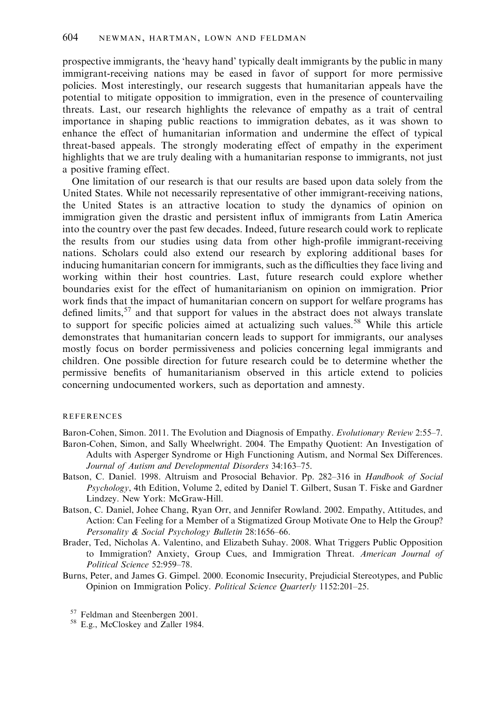prospective immigrants, the 'heavy hand' typically dealt immigrants by the public in many immigrant-receiving nations may be eased in favor of support for more permissive policies. Most interestingly, our research suggests that humanitarian appeals have the potential to mitigate opposition to immigration, even in the presence of countervailing threats. Last, our research highlights the relevance of empathy as a trait of central importance in shaping public reactions to immigration debates, as it was shown to enhance the effect of humanitarian information and undermine the effect of typical threat-based appeals. The strongly moderating effect of empathy in the experiment highlights that we are truly dealing with a humanitarian response to immigrants, not just a positive framing effect.

One limitation of our research is that our results are based upon data solely from the United States. While not necessarily representative of other immigrant-receiving nations, the United States is an attractive location to study the dynamics of opinion on immigration given the drastic and persistent influx of immigrants from Latin America into the country over the past few decades. Indeed, future research could work to replicate the results from our studies using data from other high-profile immigrant-receiving nations. Scholars could also extend our research by exploring additional bases for inducing humanitarian concern for immigrants, such as the difficulties they face living and working within their host countries. Last, future research could explore whether boundaries exist for the effect of humanitarianism on opinion on immigration. Prior work finds that the impact of humanitarian concern on support for welfare programs has defined limits,  $57$  and that support for values in the abstract does not always translate to support for specific policies aimed at actualizing such values.<sup>58</sup> While this article demonstrates that humanitarian concern leads to support for immigrants, our analyses mostly focus on border permissiveness and policies concerning legal immigrants and children. One possible direction for future research could be to determine whether the permissive benefits of humanitarianism observed in this article extend to policies concerning undocumented workers, such as deportation and amnesty.

#### **REFERENCES**

Baron-Cohen, Simon. 2011. The Evolution and Diagnosis of Empathy. Evolutionary Review 2:55–7.

- Baron-Cohen, Simon, and Sally Wheelwright. 2004. The Empathy Quotient: An Investigation of Adults with Asperger Syndrome or High Functioning Autism, and Normal Sex Differences. Journal of Autism and Developmental Disorders 34:163–75.
- Batson, C. Daniel. 1998. Altruism and Prosocial Behavior. Pp. 282-316 in Handbook of Social Psychology, 4th Edition, Volume 2, edited by Daniel T. Gilbert, Susan T. Fiske and Gardner Lindzey. New York: McGraw-Hill.
- Batson, C. Daniel, Johee Chang, Ryan Orr, and Jennifer Rowland. 2002. Empathy, Attitudes, and Action: Can Feeling for a Member of a Stigmatized Group Motivate One to Help the Group? Personality & Social Psychology Bulletin 28:1656-66.
- Brader, Ted, Nicholas A. Valentino, and Elizabeth Suhay. 2008. What Triggers Public Opposition to Immigration? Anxiety, Group Cues, and Immigration Threat. American Journal of Political Science 52:959–78.
- Burns, Peter, and James G. Gimpel. 2000. Economic Insecurity, Prejudicial Stereotypes, and Public Opinion on Immigration Policy. Political Science Quarterly 1152:201–25.

 $57$  Feldman and Steenbergen 2001.<br> $58$  E.g., McCloskey and Zaller 1984.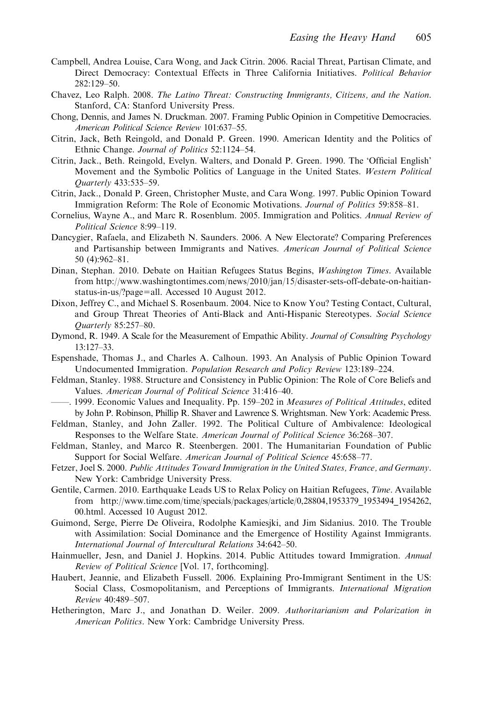- Campbell, Andrea Louise, Cara Wong, and Jack Citrin. 2006. Racial Threat, Partisan Climate, and Direct Democracy: Contextual Effects in Three California Initiatives. Political Behavior 282:129–50.
- Chavez, Leo Ralph. 2008. The Latino Threat: Constructing Immigrants, Citizens, and the Nation. Stanford, CA: Stanford University Press.
- Chong, Dennis, and James N. Druckman. 2007. Framing Public Opinion in Competitive Democracies. American Political Science Review 101:637–55.
- Citrin, Jack, Beth Reingold, and Donald P. Green. 1990. American Identity and the Politics of Ethnic Change. Journal of Politics 52:1124–54.
- Citrin, Jack., Beth. Reingold, Evelyn. Walters, and Donald P. Green. 1990. The 'Official English' Movement and the Symbolic Politics of Language in the United States. Western Political Quarterly 433:535–59.
- Citrin, Jack., Donald P. Green, Christopher Muste, and Cara Wong. 1997. Public Opinion Toward Immigration Reform: The Role of Economic Motivations. Journal of Politics 59:858–81.
- Cornelius, Wayne A., and Marc R. Rosenblum. 2005. Immigration and Politics. Annual Review of Political Science 8:99–119.
- Dancygier, Rafaela, and Elizabeth N. Saunders. 2006. A New Electorate? Comparing Preferences and Partisanship between Immigrants and Natives. American Journal of Political Science 50 (4):962–81.
- Dinan, Stephan. 2010. Debate on Haitian Refugees Status Begins, Washington Times. Available from http://www.washingtontimes.com/news/2010/jan/15/disaster-sets-off-debate-on-haitianstatus-in-us/?page=all. Accessed 10 August 2012.
- Dixon, Jeffrey C., and Michael S. Rosenbaum. 2004. Nice to Know You? Testing Contact, Cultural, and Group Threat Theories of Anti-Black and Anti-Hispanic Stereotypes. Social Science Quarterly 85:257–80.
- Dymond, R. 1949. A Scale for the Measurement of Empathic Ability. Journal of Consulting Psychology 13:127–33.
- Espenshade, Thomas J., and Charles A. Calhoun. 1993. An Analysis of Public Opinion Toward Undocumented Immigration. Population Research and Policy Review 123:189–224.
- Feldman, Stanley. 1988. Structure and Consistency in Public Opinion: The Role of Core Beliefs and Values. American Journal of Political Science 31:416–40.
- . 1999. Economic Values and Inequality. Pp. 159–202 in Measures of Political Attitudes, edited by John P. Robinson, Phillip R. Shaver and Lawrence S. Wrightsman. New York: Academic Press.
- Feldman, Stanley, and John Zaller. 1992. The Political Culture of Ambivalence: Ideological Responses to the Welfare State. American Journal of Political Science 36:268–307.
- Feldman, Stanley, and Marco R. Steenbergen. 2001. The Humanitarian Foundation of Public Support for Social Welfare. American Journal of Political Science 45:658–77.
- Fetzer, Joel S. 2000. Public Attitudes Toward Immigration in the United States, France, and Germany. New York: Cambridge University Press.
- Gentile, Carmen. 2010. Earthquake Leads US to Relax Policy on Haitian Refugees, Time. Available from http://www.time.com/time/specials/packages/article/0,28804,1953379\_1953494\_1954262, 00.html. Accessed 10 August 2012.
- Guimond, Serge, Pierre De Oliveira, Rodolphe Kamiesjki, and Jim Sidanius. 2010. The Trouble with Assimilation: Social Dominance and the Emergence of Hostility Against Immigrants. International Journal of Intercultural Relations 34:642–50.
- Hainmueller, Jesn, and Daniel J. Hopkins. 2014. Public Attitudes toward Immigration. Annual Review of Political Science [Vol. 17, forthcoming].
- Haubert, Jeannie, and Elizabeth Fussell. 2006. Explaining Pro-Immigrant Sentiment in the US: Social Class, Cosmopolitanism, and Perceptions of Immigrants. International Migration Review 40:489–507.
- Hetherington, Marc J., and Jonathan D. Weiler. 2009. Authoritarianism and Polarization in American Politics. New York: Cambridge University Press.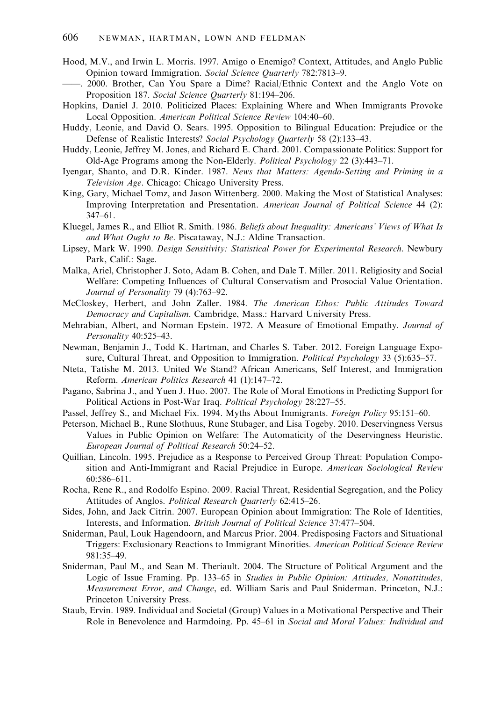- Hood, M.V., and Irwin L. Morris. 1997. Amigo o Enemigo? Context, Attitudes, and Anglo Public Opinion toward Immigration. Social Science Quarterly 782:7813–9.
- ——. 2000. Brother, Can You Spare a Dime? Racial/Ethnic Context and the Anglo Vote on Proposition 187. Social Science Quarterly 81:194-206.
- Hopkins, Daniel J. 2010. Politicized Places: Explaining Where and When Immigrants Provoke Local Opposition. American Political Science Review 104:40–60.
- Huddy, Leonie, and David O. Sears. 1995. Opposition to Bilingual Education: Prejudice or the Defense of Realistic Interests? Social Psychology Quarterly 58 (2):133-43.
- Huddy, Leonie, Jeffrey M. Jones, and Richard E. Chard. 2001. Compassionate Politics: Support for Old-Age Programs among the Non-Elderly. Political Psychology 22 (3):443–71.
- Iyengar, Shanto, and D.R. Kinder. 1987. News that Matters: Agenda-Setting and Priming in a Television Age. Chicago: Chicago University Press.
- King, Gary, Michael Tomz, and Jason Wittenberg. 2000. Making the Most of Statistical Analyses: Improving Interpretation and Presentation. American Journal of Political Science 44 (2): 347–61.
- Kluegel, James R., and Elliot R. Smith. 1986. Beliefs about Inequality: Americans' Views of What Is and What Ought to Be. Piscataway, N.J.: Aldine Transaction.
- Lipsey, Mark W. 1990. Design Sensitivity: Statistical Power for Experimental Research. Newbury Park, Calif.: Sage.
- Malka, Ariel, Christopher J. Soto, Adam B. Cohen, and Dale T. Miller. 2011. Religiosity and Social Welfare: Competing Influences of Cultural Conservatism and Prosocial Value Orientation. Journal of Personality 79 (4):763–92.
- McCloskey, Herbert, and John Zaller. 1984. The American Ethos: Public Attitudes Toward Democracy and Capitalism. Cambridge, Mass.: Harvard University Press.
- Mehrabian, Albert, and Norman Epstein. 1972. A Measure of Emotional Empathy. Journal of Personality 40:525-43.
- Newman, Benjamin J., Todd K. Hartman, and Charles S. Taber. 2012. Foreign Language Exposure, Cultural Threat, and Opposition to Immigration. *Political Psychology* 33 (5):635–57.
- Nteta, Tatishe M. 2013. United We Stand? African Americans, Self Interest, and Immigration Reform. American Politics Research 41 (1):147–72.
- Pagano, Sabrina J., and Yuen J. Huo. 2007. The Role of Moral Emotions in Predicting Support for Political Actions in Post-War Iraq. Political Psychology 28:227–55.
- Passel, Jeffrey S., and Michael Fix. 1994. Myths About Immigrants. Foreign Policy 95:151–60.
- Peterson, Michael B., Rune Slothuus, Rune Stubager, and Lisa Togeby. 2010. Deservingness Versus Values in Public Opinion on Welfare: The Automaticity of the Deservingness Heuristic. European Journal of Political Research 50:24–52.
- Quillian, Lincoln. 1995. Prejudice as a Response to Perceived Group Threat: Population Composition and Anti-Immigrant and Racial Prejudice in Europe. American Sociological Review 60:586–611.
- Rocha, Rene R., and Rodolfo Espino. 2009. Racial Threat, Residential Segregation, and the Policy Attitudes of Anglos. Political Research Quarterly 62:415-26.
- Sides, John, and Jack Citrin. 2007. European Opinion about Immigration: The Role of Identities, Interests, and Information. British Journal of Political Science 37:477–504.
- Sniderman, Paul, Louk Hagendoorn, and Marcus Prior. 2004. Predisposing Factors and Situational Triggers: Exclusionary Reactions to Immigrant Minorities. American Political Science Review 981:35–49.
- Sniderman, Paul M., and Sean M. Theriault. 2004. The Structure of Political Argument and the Logic of Issue Framing. Pp. 133–65 in Studies in Public Opinion: Attitudes, Nonattitudes, Measurement Error, and Change, ed. William Saris and Paul Sniderman. Princeton, N.J.: Princeton University Press.
- Staub, Ervin. 1989. Individual and Societal (Group) Values in a Motivational Perspective and Their Role in Benevolence and Harmdoing. Pp. 45–61 in Social and Moral Values: Individual and